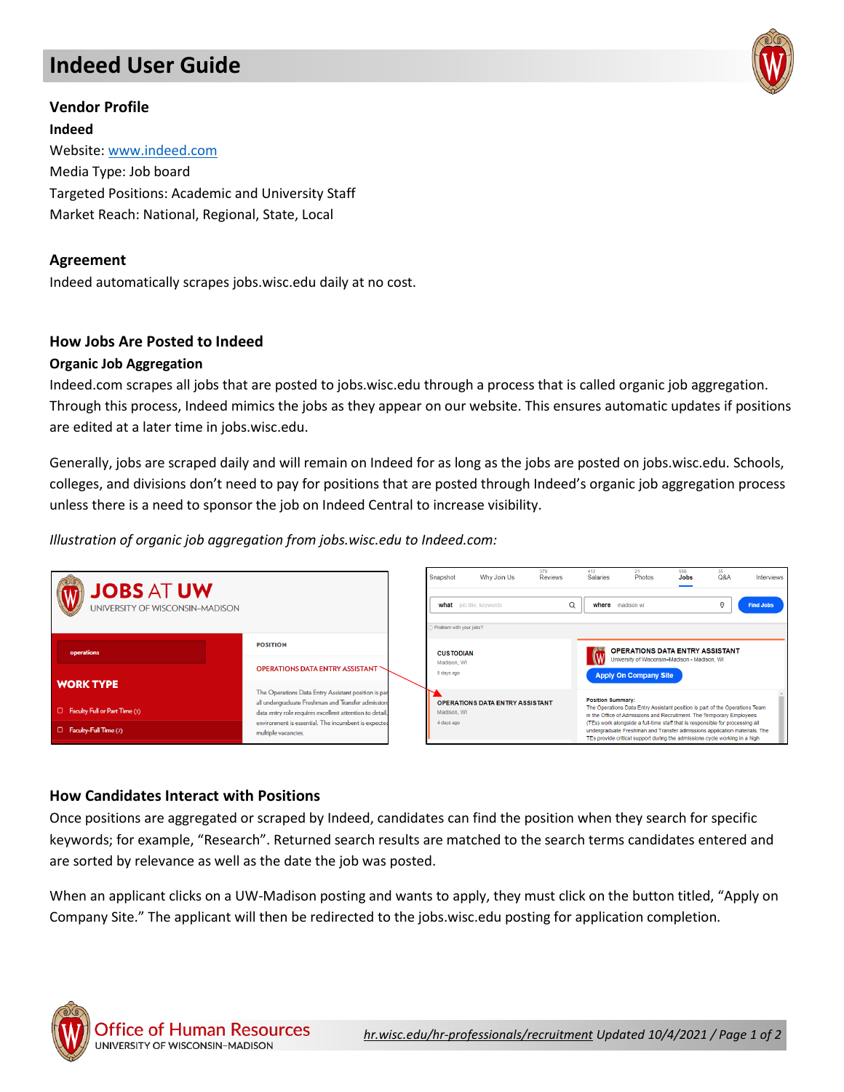# **Indeed User Guide**



## **Vendor Profile**

**Indeed** Website[: www.indeed.com](http://www.indeed.com/) Media Type: Job board Targeted Positions: Academic and University Staff Market Reach: National, Regional, State, Local

## **Agreement**

Indeed automatically scrapes jobs.wisc.edu daily at no cost.

## **How Jobs Are Posted to Indeed**

#### **Organic Job Aggregation**

Indeed.com scrapes all jobs that are posted to jobs.wisc.edu through a process that is called organic job aggregation. Through this process, Indeed mimics the jobs as they appear on our website. This ensures automatic updates if positions are edited at a later time in jobs.wisc.edu.

Generally, jobs are scraped daily and will remain on Indeed for as long as the jobs are posted on jobs.wisc.edu. Schools, colleges, and divisions don't need to pay for positions that are posted through Indeed's organic job aggregation process unless there is a need to sponsor the job on Indeed Central to increase visibility.

## *Illustration of organic job aggregation from jobs.wisc.edu to Indeed.com:*



## **How Candidates Interact with Positions**

Once positions are aggregated or scraped by Indeed, candidates can find the position when they search for specific keywords; for example, "Research". Returned search results are matched to the search terms candidates entered and are sorted by relevance as well as the date the job was posted.

When an applicant clicks on a UW-Madison posting and wants to apply, they must click on the button titled, "Apply on Company Site." The applicant will then be redirected to the jobs.wisc.edu posting for application completion.